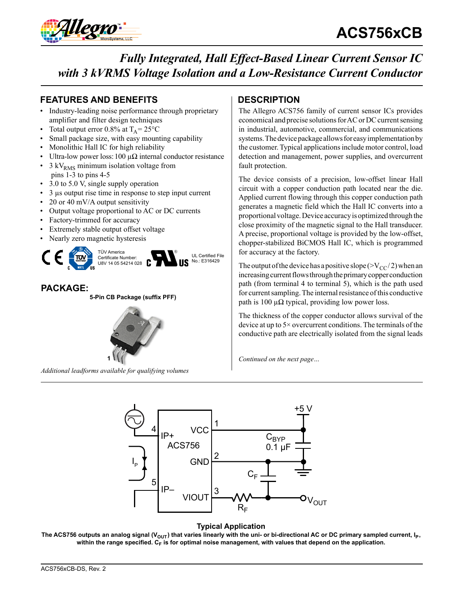

### **FEATURES AND BENEFITS DESCRIPTION**

- Industry-leading noise performance through proprietary amplifier and filter design techniques
- Total output error 0.8% at  $T_A = 25^{\circ}C$
- Small package size, with easy mounting capability
- Monolithic Hall IC for high reliability
- Ultra-low power loss: 100 μ $\Omega$  internal conductor resistance
- $3 \text{ kV}_{\text{RMS}}$  minimum isolation voltage from pins 1-3 to pins 4-5
- 3.0 to 5.0 V, single supply operation
- 3 µs output rise time in response to step input current
- 20 or 40 mV/A output sensitivity
- Output voltage proportional to AC or DC currents
- Factory-trimmed for accuracy
- Extremely stable output offset voltage
- Nearly zero magnetic hysteresis



### **PACKAGE:**

**5-Pin CB Package (suffix PFF)**



*Additional leadforms available for qualifying volumes*

The Allegro ACS756 family of current sensor ICs provides economical and precise solutions for AC or DC current sensing in industrial, automotive, commercial, and communications systems. The device package allows for easy implementation by the customer. Typical applications include motor control, load detection and management, power supplies, and overcurrent fault protection.

The device consists of a precision, low-offset linear Hall circuit with a copper conduction path located near the die. Applied current flowing through this copper conduction path generates a magnetic field which the Hall IC converts into a proportional voltage. Device accuracy is optimized through the close proximity of the magnetic signal to the Hall transducer. A precise, proportional voltage is provided by the low-offset, chopper-stabilized BiCMOS Hall IC, which is programmed for accuracy at the factory.

The output of the device has a positive slope ( $>V_{CC}/2$ ) when an increasing current flows through the primary copper conduction path (from terminal 4 to terminal 5), which is the path used for current sampling. The internal resistance of this conductive path is 100  $\mu\Omega$  typical, providing low power loss.

The thickness of the copper conductor allows survival of the device at up to 5× overcurrent conditions. The terminals of the conductive path are electrically isolated from the signal leads

*Continued on the next page…*



#### **Typical Application**

The ACS756 outputs an analog signal (V<sub>OUT</sub>) that varies linearly with the uni- or bi-directional AC or DC primary sampled current, I<sub>P</sub>, within the range specified. C<sub>F</sub> is for optimal noise management, with values that depend on the application.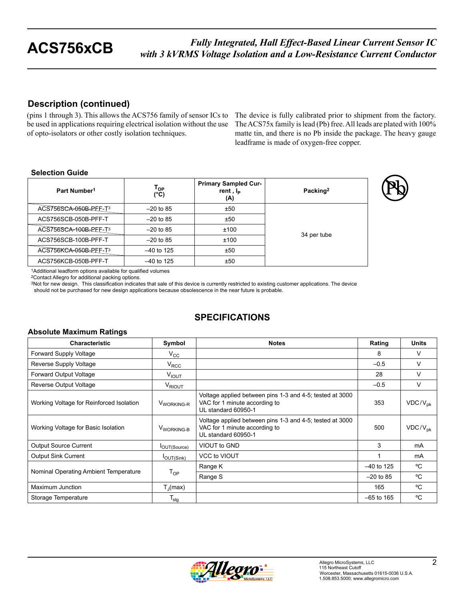### **Description (continued)**

(pins 1 through 3). This allows the ACS756 family of sensor ICs to be used in applications requiring electrical isolation without the use of opto-isolators or other costly isolation techniques.

The device is fully calibrated prior to shipment from the factory. The ACS75x family is lead (Pb) free. All leads are plated with 100% matte tin, and there is no Pb inside the package. The heavy gauge leadframe is made of oxygen-free copper.

#### **Selection Guide**

| Part Number <sup>1</sup> | Тор<br>(°C)  | <b>Primary Sampled Cur-</b><br>rent, I <sub>P</sub><br>(A) | Packing <sup>2</sup> |
|--------------------------|--------------|------------------------------------------------------------|----------------------|
| ACS756SCA-050B-PFF-T3    | $-20$ to 85  | ±50                                                        |                      |
| ACS756SCB-050B-PFF-T     | $-20$ to 85  | ±50                                                        |                      |
| ACS756SCA-100B-PEF-T3    | $-20$ to 85  | ±100                                                       |                      |
| ACS756SCB-100B-PFF-T     | $-20$ to 85  | ±100                                                       | 34 per tube          |
| ACS756KCA-050B-PEF-T3    | $-40$ to 125 | ±50                                                        |                      |
| ACS756KCB-050B-PFF-T     | $-40$ to 125 | ±50                                                        |                      |

1Additional leadform options available for qualified volumes

2Contact Allegro for additional packing options.

3Not for new design. This classification indicates that sale of this device is currently restricted to existing customer applications. The device should not be purchased for new design applications because obsolescence in the near future is probable.

## **SPECIFICATIONS**

#### **Absolute Maximum Ratings**

| <b>Characteristic</b>                    | Symbol                    | <b>Notes</b>                                                                                                     | Rating       | <b>Units</b> |
|------------------------------------------|---------------------------|------------------------------------------------------------------------------------------------------------------|--------------|--------------|
| Forward Supply Voltage                   | $V_{\rm CC}$              |                                                                                                                  | 8            | $\vee$       |
| Reverse Supply Voltage                   | $V_{RCC}$                 |                                                                                                                  | $-0.5$       | $\vee$       |
| Forward Output Voltage                   | V <sub>IOUT</sub>         |                                                                                                                  | 28           | V            |
| Reverse Output Voltage                   | V <sub>RIOUT</sub>        |                                                                                                                  | $-0.5$       | V            |
| Working Voltage for Reinforced Isolation | V <sub>WORKING-R</sub>    | Voltage applied between pins 1-3 and 4-5; tested at 3000<br>VAC for 1 minute according to<br>UL standard 60950-1 | 353          | $VDC/V_{pk}$ |
| Working Voltage for Basic Isolation      | V <sub>WORKING-B</sub>    | Voltage applied between pins 1-3 and 4-5; tested at 3000<br>VAC for 1 minute according to<br>UL standard 60950-1 | 500          | $VDC/V_{pk}$ |
| <b>Output Source Current</b>             | <b>I</b> OUT(Source)      | VIOUT to GND                                                                                                     | 3            | mA           |
| <b>Output Sink Current</b>               | $I_{OUT(Sink)}$           | <b>VCC to VIOUT</b>                                                                                              |              | mA           |
|                                          |                           | Range K                                                                                                          | $-40$ to 125 | °C           |
| Nominal Operating Ambient Temperature    | $T_{OP}$                  | Range S                                                                                                          | $-20$ to 85  | °C           |
| Maximum Junction                         | $T_{\rm d}$ (max)         |                                                                                                                  | 165          | °C           |
| Storage Temperature                      | $\mathsf{T}_{\text{stg}}$ |                                                                                                                  | $-65$ to 165 | °C           |

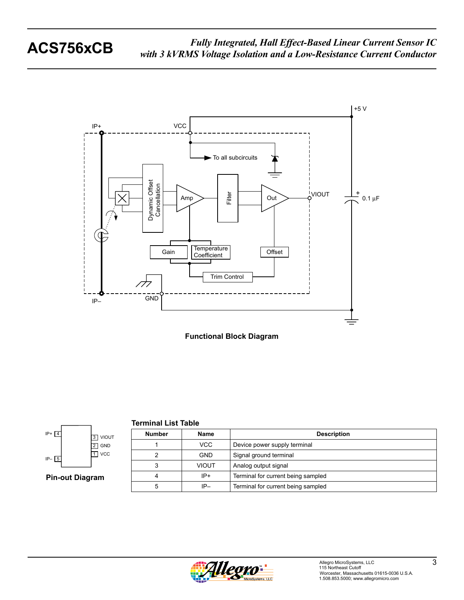



**Terminal List Table**



**Pin-out Diagram**

| <b>Number</b> | <b>Name</b>  | <b>Description</b>                 |  |  |  |
|---------------|--------------|------------------------------------|--|--|--|
|               | VCC          | Device power supply terminal       |  |  |  |
| 2             | <b>GND</b>   | Signal ground terminal             |  |  |  |
| 3             | <b>VIOUT</b> | Analog output signal               |  |  |  |
| 4             | $IP+$        | Terminal for current being sampled |  |  |  |
| 5             | $IP-$        | Terminal for current being sampled |  |  |  |

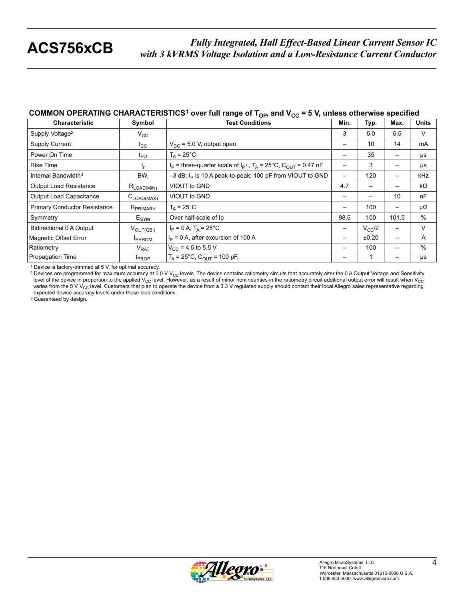### **COMMON OPERATING CHARACTERISTICS<sup>1</sup> over full range of T<sub>OP</sub>, and V<sub>CC</sub> = 5 V, unless otherwise specified**

| <b>Characteristic</b>               | Symbol                            | <b>Test Conditions</b>                                                           | Min. | Typ.            | Max.            | <b>Units</b> |
|-------------------------------------|-----------------------------------|----------------------------------------------------------------------------------|------|-----------------|-----------------|--------------|
| Supply Voltage <sup>2</sup>         | $V_{CC}$                          |                                                                                  | 3    | 5.0             | 5.5             | V            |
| <b>Supply Current</b>               | $I_{\rm CC}$                      | $V_{CC}$ = 5.0 V, output open                                                    | —    | 10              | 14              | mA           |
| Power On Time                       | $t_{PO}$                          | $T_A = 25^{\circ}$ C                                                             |      | 35              |                 | $\mu s$      |
| <b>Rise Time</b>                    | t,                                | $I_P$ = three-quarter scale of $I_P$ +, $T_A$ = 25°C, C <sub>OUT</sub> = 0.47 nF | —    | 3               | —               | μs           |
| Internal Bandwidth <sup>3</sup>     | $BW_i$                            | -3 dB; I <sub>P</sub> is 10 A peak-to-peak; 100 pF from VIOUT to GND             | —    | 120             | —               | kHz          |
| <b>Output Load Resistance</b>       | $R_{\mathsf{LOAD}(\mathsf{MIN})}$ | VIOUT to GND                                                                     | 4.7  | -               |                 | kΩ           |
| Output Load Capacitance             | $C_{\text{LOAD(MAX)}}$            | VIOUT to GND                                                                     | —    |                 | 10              | nF           |
| <b>Primary Conductor Resistance</b> | $R_{PRIMARY}$                     | $T_A = 25^{\circ}$ C                                                             |      | 100             | —               | μΩ           |
| Symmetry                            | E <sub>SYM</sub>                  | Over half-scale of Ip                                                            | 98.5 | 100             | 101.5           | %            |
| <b>Bidirectional 0 A Output</b>     | $V_{\text{OUT(QBI)}}$             | $I_P = 0 A$ , $T_A = 25^{\circ}C$                                                | —    | $V_{\rm CC}$ /2 | $\qquad \qquad$ | V            |
| Magnetic Offset Error               | <b>ERROM</b>                      | $IP = 0$ A, after excursion of 100 A                                             | —    | ±0.20           | —               | A            |
| Ratiometry                          | $V_{RAT}$                         | $V_{CC}$ = 4.5 to 5.5 V                                                          |      | 100             | —               | $\%$         |
| Propagation Time                    | <b>T</b> <sub>PROP</sub>          | $T_A = 25^{\circ}C$ , $C_{O IIT} = 100$ pF,                                      |      |                 |                 | μs           |

1 Device is factory-trimmed at 5 V, for optimal accuracy.

<sup>2</sup> Devices are programmed for maximum accuracy at 5.0 V V<sub>CC</sub> levels. The device contains ratiometry circuits that accurately alter the 0 A Output Voltage and Sensitivity level of the device in proportion to the applied V<sub>CC</sub> level. However, as a result of minor nonlinearities in the ratiometry circuit additional output error will result when V<sub>CC</sub> varies from the 5 V V<sub>CC</sub> level. Customers that plan to operate the device from a 3.3 V regulated supply should contact their local Allegro sales representative regarding<br>expected device accuracy levels under these bias co

3 Guaranteed by design.

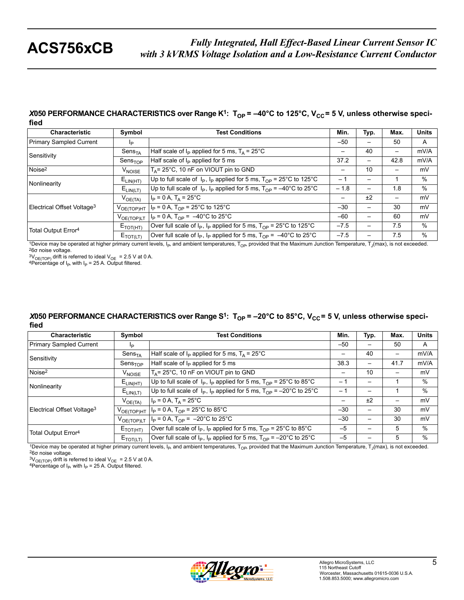#### *X*050 PERFORMANCE CHARACTERISTICS over Range K<sup>1</sup>: T<sub>OP</sub> = -40°C to 125°C, V<sub>CC</sub> = 5 V, unless otherwise speci**fied**

| <b>Characteristic</b>                                                                     | Symbol                      | <b>Test Conditions</b>                                                                            | Min.   | Typ.            | Max. | <b>Units</b> |
|-------------------------------------------------------------------------------------------|-----------------------------|---------------------------------------------------------------------------------------------------|--------|-----------------|------|--------------|
| Primary Sampled Current                                                                   | Ip                          |                                                                                                   | $-50$  |                 | 50   | A            |
| Sensitivity                                                                               | Sens <sub>TA</sub>          | Half scale of $I_P$ applied for 5 ms, $T_A = 25^{\circ}$ C                                        | -      | 40              | —    | mV/A         |
|                                                                                           | Sens <sub>TOP</sub>         | Half scale of $I_P$ applied for 5 ms                                                              | 37.2   | $\qquad \qquad$ | 42.8 | mV/A         |
| Noise <sup>2</sup>                                                                        | V <sub>NOISE</sub>          | $T_A$ = 25°C, 10 nF on VIOUT pin to GND                                                           | —      | 10              | —    | mV           |
| Nonlinearity<br>Electrical Offset Voltage <sup>3</sup><br>Total Output Error <sup>4</sup> | $E_{LIN(HT)}$               | Up to full scale of $I_P$ , $I_P$ applied for 5 ms, $T_{OP}$ = 25°C to 125°C                      | $-1$   |                 |      | $\%$         |
|                                                                                           | $E_{\text{LIN}(\text{LT})}$ | Up to full scale of $I_P$ , $I_P$ applied for 5 ms, $T_{OP} = -40^{\circ}$ C to 25 <sup>°</sup> C | $-1.8$ |                 | 1.8  | $\%$         |
|                                                                                           | $V_{OE(TA)}$                | $I_P = 0 A$ , $T_A = 25^{\circ}C$                                                                 | —      | ±2              | —    | mV           |
|                                                                                           | $V_{OE(TOP)HT}$             | $ I_P = 0 A$ , T <sub>OP</sub> = 25°C to 125°C                                                    | $-30$  | —               | 30   | mV           |
|                                                                                           | V <sub>OE(TOP)LT</sub>      | $I_P = 0 A$ , $T_{OP} = -40^{\circ}$ C to 25°C                                                    | $-60$  |                 | 60   | mV           |
|                                                                                           | $E_{\text{TOT(HT)}}$        | Over full scale of $I_P$ , $I_P$ applied for 5 ms, $T_{OP}$ = 25°C to 125°C                       | $-7.5$ |                 | 7.5  | $\%$         |
|                                                                                           | $E_{\text{TOT(LT)}}$        | Over full scale of $I_P$ , $I_P$ applied for 5 ms, $T_{OP} = -40^{\circ}$ C to 25°C               | $-7.5$ |                 | 7.5  | $\%$         |

1Device may be operated at higher primary current levels, I<sub>P</sub>, and ambient temperatures, T<sub>OP</sub>, provided that the Maximum Junction Temperature, T<sub>J</sub>(max), is not exceeded. <sup>2</sup>6 $\sigma$  noise voltage.

 $3V_{\text{OE(TOP)}}$  drift is referred to ideal  $V_{\text{OE}} = 2.5$  V at 0 A. 4Percentage of I<sub>P</sub>, with I<sub>P</sub> = 25 A. Output filtered.

#### X050 PERFORMANCE CHARACTERISTICS over Range S<sup>1</sup>: T<sub>OP</sub> = -20°C to 85°C, V<sub>CC</sub> = 5 V, unless otherwise speci**fied**

| <b>Characteristic</b>                  | Symbol                      | <b>Test Conditions</b>                                                               | Min.  | Typ. | Max.                     | <b>Units</b> |
|----------------------------------------|-----------------------------|--------------------------------------------------------------------------------------|-------|------|--------------------------|--------------|
| Primary Sampled Current                | Ip                          |                                                                                      | $-50$ |      | 50                       | A            |
| Sensitivity                            | $\mathsf{Sens}_\mathsf{TA}$ | Half scale of $I_P$ applied for 5 ms, $T_A = 25^{\circ}$ C                           | —     | 40   | —                        | mV/A         |
|                                        | Sens <sub>TOP</sub>         | Half scale of $I_P$ applied for 5 ms                                                 | 38.3  |      | 41.7                     | mV/A         |
| Noise <sup>2</sup>                     | V <sub>NOISE</sub>          | $T_A$ = 25°C, 10 nF on VIOUT pin to GND                                              |       | 10   |                          | mV           |
| Nonlinearity                           | $E_{LIN(HT)}$               | Up to full scale of $I_P$ , $I_P$ applied for 5 ms, $T_{OP}$ = 25°C to 85°C          | $-1$  |      |                          | %            |
|                                        | $E_{LIN(LT)}$               | Up to full scale of $I_P$ , $I_P$ applied for 5 ms, $T_{OP} = -20^{\circ}$ C to 25°C | $-1$  |      |                          | %            |
|                                        | $V_{OE(TA)}$                | $I_P = 0 A$ , $T_A = 25^{\circ}C$                                                    | —     | ±2   | $\overline{\phantom{0}}$ | mV           |
| Electrical Offset Voltage <sup>3</sup> | $V_{OE(TOP)HT}$             | $ I_P = 0 A$ , T <sub>OP</sub> = 25 <sup>°</sup> C to 85 <sup>°</sup> C              | $-30$ |      | 30                       | mV           |
|                                        | $V_{OE(TOP)LT}$             | $I_P = 0$ A, $T_{OP} = -20^{\circ}$ C to $25^{\circ}$ C                              | $-30$ |      | 30                       | mV           |
| Total Output Error <sup>4</sup>        | $E_{\text{TOT(HT)}}$        | Over full scale of $I_P$ , $I_P$ applied for 5 ms, $T_{OP}$ = 25°C to 85°C           | $-5$  |      | 5                        | %            |
|                                        | $E_{\text{TOT(LT)}}$        | Over full scale of $I_P$ , $I_P$ applied for 5 ms, $T_{OP} = -20^{\circ}$ C to 25°C  | $-5$  |      | 5                        | %            |

1Device may be operated at higher primary current levels, I<sub>P</sub>, and ambient temperatures, T<sub>OP</sub>, provided that the Maximum Junction Temperature, T<sub>J</sub>(max), is not exceeded.<br><sup>2</sup>6σ noise voltage.<br><sup>3</sup>V<sub>OE(TOP)</sub> drift is refe

<sup>4</sup>Percentage of  $I_P$ , with  $I_P$  = 25 A. Output filtered.

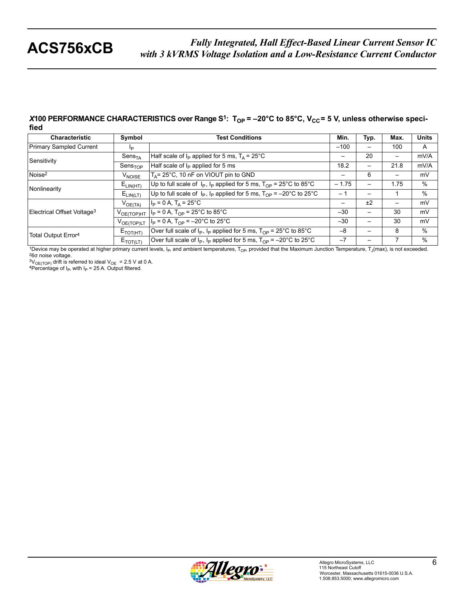#### *X***100 PERFORMANCE CHARACTERISTICS over Range S<sup>1</sup>: T<sub>OP</sub> = -20°C to 85°C, V<sub>CC</sub> = 5 V, unless otherwise specified**

| <b>Characteristic</b>                  | Symbol                      | <b>Test Conditions</b>                                                               | Min.    | Typ.                     | Max. | <b>Units</b> |
|----------------------------------------|-----------------------------|--------------------------------------------------------------------------------------|---------|--------------------------|------|--------------|
| Primary Sampled Current                | IÞ                          |                                                                                      | $-100$  |                          | 100  | A            |
| Sensitivity                            | $\mathsf{Sens}_\mathsf{TA}$ | Half scale of $I_P$ applied for 5 ms, $T_A = 25^{\circ}$ C                           | -       | 20                       | —    | mV/A         |
|                                        | Sens <sub>TOP</sub>         | Half scale of $I_P$ applied for 5 ms                                                 | 18.2    | $\overline{\phantom{0}}$ | 21.8 | mV/A         |
| Noise <sup>2</sup>                     | V <sub>NOISE</sub>          | $T_A$ = 25°C, 10 nF on VIOUT pin to GND                                              | —       | 6                        |      | mV           |
| Nonlinearity                           | $E_{LIN(HT)}$               | Up to full scale of $I_P$ , $I_P$ applied for 5 ms, $T_{OP}$ = 25°C to 85°C          | $-1.75$ | $\overline{\phantom{0}}$ | 1.75 | $\%$         |
|                                        | $E_{LIN(LT)}$               | Up to full scale of $I_P$ , $I_P$ applied for 5 ms, $T_{OP} = -20^{\circ}$ C to 25°C | $-1$    | $\overline{\phantom{0}}$ |      | %            |
|                                        | $V_{OE(TA)}$                | $ I_{\rm P}$ = 0 A, T <sub>A</sub> = 25°C                                            | —       | ±2                       |      | mV           |
| Electrical Offset Voltage <sup>3</sup> | $V_{OE(TOP)HT}$             | $I_P = 0 A$ , T <sub>OP</sub> = 25°C to 85°C                                         | $-30$   |                          | 30   | mV           |
|                                        | $V_{OE(TOP)LT}$             | $I_P = 0 A$ , $T_{OP} = -20^{\circ}C$ to 25°C                                        | $-30$   | $\overline{\phantom{0}}$ | 30   | mV           |
| Total Output Error <sup>4</sup>        | $E_{\text{TOT(HT)}}$        | Over full scale of $I_P$ , $I_P$ applied for 5 ms, $T_{OP}$ = 25°C to 85°C           | $-8$    |                          | 8    | $\%$         |
|                                        | $E_{TOT(LT)}$               | Over full scale of $I_P$ , $I_P$ applied for 5 ms, $T_{OP}$ = -20°C to 25°C          | $-7$    |                          |      | %            |

1Device may be operated at higher primary current levels, I<sub>P</sub>, and ambient temperatures, T<sub>OP</sub>, provided that the Maximum Junction Temperature, T<sub>J</sub>(max), is not exceeded. <sup>2</sup>6 $\sigma$  noise voltage.

<sup>3V</sup>OE(TOP) drift is referred to ideal V<sub>OE</sub> = 2.5 V at 0 A. 4Percentage of I<sub>P</sub>, with I<sub>P</sub> = 25 A. Output filtered.

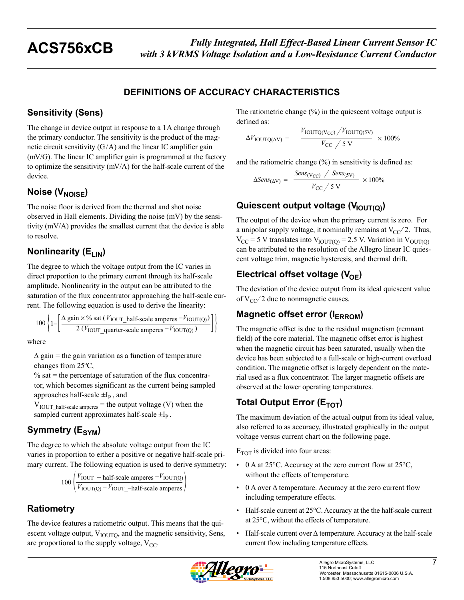### **DEFINITIONS OF ACCURACY CHARACTERISTICS**

### **Sensitivity (Sens)**

The change in device output in response to a 1A change through the primary conductor. The sensitivity is the product of the magnetic circuit sensitivity  $(G/A)$  and the linear IC amplifier gain (mV/G). The linear IC amplifier gain is programmed at the factory to optimize the sensitivity (mV/A) for the half-scale current of the device.

## **Noise (V<sub>NOISE</sub>)**

The noise floor is derived from the thermal and shot noise observed in Hall elements. Dividing the noise (mV) by the sensitivity (mV/A) provides the smallest current that the device is able to resolve.

## **Nonlinearity (E<sub>LIN</sub>)**

The degree to which the voltage output from the IC varies in direct proportion to the primary current through its half-scale amplitude. Nonlinearity in the output can be attributed to the saturation of the flux concentrator approaching the half-scale current. The following equation is used to derive the linearity:

$$
100\left\{1-\left[\frac{\Delta \text{ gain} \times \% \text{ sat } (V_{\text{IOUT}\_\text{half-scale amperes} - V_{\text{IOUT(Q)}})}{2 (V_{\text{IOUT}\_\text{quarter-scale amperes} - V_{\text{IOUT(Q)}})}\right]\right\}
$$

where

 $\Delta$  gain = the gain variation as a function of temperature changes from 25ºC,

 $%$  sat = the percentage of saturation of the flux concentrator, which becomes significant as the current being sampled approaches half-scale  $\pm I_p$ , and

 $V_{\text{IOUT}\_\text{half-scale amperes}}$  = the output voltage (V) when the sampled current approximates half-scale  $\pm I_p$ .

## **Symmetry (E<sub>SYM</sub>)**

The degree to which the absolute voltage output from the IC varies in proportion to either a positive or negative half-scale primary current. The following equation is used to derive symmetry:

$$
100 \left( \frac{V_{\text{IOUT}} + \text{half-scale amperes} - V_{\text{IOUT(Q)}}}{V_{\text{IOUT(Q)}} - V_{\text{IOUT}} - \text{half-scale amperes}} \right)
$$

## **Ratiometry**

The device features a ratiometric output. This means that the quiescent voltage output,  $V_{\text{IOUTO}}$ , and the magnetic sensitivity, Sens, are proportional to the supply voltage,  $V_{CC}$ .

The ratiometric change (%) in the quiescent voltage output is defined as:

$$
\Delta V_{\text{IOUTQ(AV)}} = \frac{V_{\text{IOUTQ(VCC)}}/V_{\text{IOUTQ(SV)}}}{V_{\text{CC}}/5 \text{ V}} \times 100\%
$$

and the ratiometric change (%) in sensitivity is defined as:

$$
\Delta Sens_{(\Delta V)} = \frac{Sens_{(V_{CC})} / Sens_{(SV)}}{V_{CC} / 5 \text{ V}} \times 100\%
$$

## **Quiescent output voltage (V<sub>IOUT(Q)</sub>)**

The output of the device when the primary current is zero. For a unipolar supply voltage, it nominally remains at  $V_{CC}/2$ . Thus,  $V_{\text{CC}}$  = 5 V translates into  $V_{\text{IOUT}(O)}$  = 2.5 V. Variation in  $V_{\text{OUT}(O)}$ can be attributed to the resolution of the Allegro linear IC quiescent voltage trim, magnetic hysteresis, and thermal drift.

## **Electrical offset voltage (V<sub>OE</sub>)**

The deviation of the device output from its ideal quiescent value of  $V_{CC}/2$  due to nonmagnetic causes.

## **Magnetic offset error (IERROM)**

The magnetic offset is due to the residual magnetism (remnant field) of the core material. The magnetic offset error is highest when the magnetic circuit has been saturated, usually when the device has been subjected to a full-scale or high-current overload condition. The magnetic offset is largely dependent on the material used as a flux concentrator. The larger magnetic offsets are observed at the lower operating temperatures.

## **Total Output Error (E<sub>TOT</sub>)**

The maximum deviation of the actual output from its ideal value, also referred to as accuracy, illustrated graphically in the output voltage versus current chart on the following page.

 $E_{TOT}$  is divided into four areas:

- 0 A at 25 $\degree$ C. Accuracy at the zero current flow at 25 $\degree$ C, without the effects of temperature.
- 0 A over Δ temperature. Accuracy at the zero current flow including temperature effects.
- Half-scale current at 25°C. Accuracy at the the half-scale current at 25°C, without the effects of temperature.
- Half-scale current over Δ temperature. Accuracy at the half-scale current flow including temperature effects.

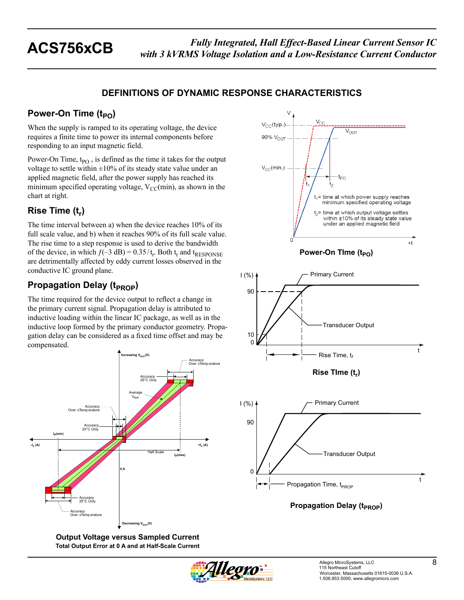### **DEFINITIONS OF DYNAMIC RESPONSE CHARACTERISTICS**

## **Power-On Time (t<sub>PO</sub>)**

When the supply is ramped to its operating voltage, the device requires a finite time to power its internal components before responding to an input magnetic field.

Power-On Time,  $t_{PO}$ , is defined as the time it takes for the output voltage to settle within  $\pm 10\%$  of its steady state value under an applied magnetic field, after the power supply has reached its minimum specified operating voltage,  $V_{CC}(min)$ , as shown in the chart at right.

## **Rise Time (t<sub>r</sub>)**

The time interval between a) when the device reaches 10% of its full scale value, and b) when it reaches 90% of its full scale value. The rise time to a step response is used to derive the bandwidth of the device, in which  $f(-3 \text{ dB}) = 0.35/t_r$ . Both  $t_r$  and  $t_{RESPONSE}$ are detrimentally affected by eddy current losses observed in the conductive IC ground plane.

## **Propagation Delay (t<sub>PROP</sub>)**

The time required for the device output to reflect a change in the primary current signal. Propagation delay is attributed to inductive loading within the linear IC package, as well as in the inductive loop formed by the primary conductor geometry. Propagation delay can be considered as a fixed time offset and may be compensated.



**Output Voltage versus Sampled Current Total Output Error at 0 A and at Half-Scale Current**









**Propagation Delay (t<sub>PROP</sub>)**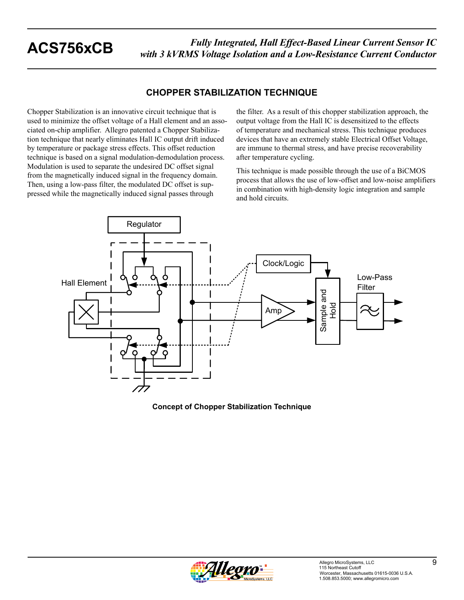### **CHOPPER STABILIZATION TECHNIQUE**

Chopper Stabilization is an innovative circuit technique that is used to minimize the offset voltage of a Hall element and an associated on-chip amplifier. Allegro patented a Chopper Stabilization technique that nearly eliminates Hall IC output drift induced by temperature or package stress effects. This offset reduction technique is based on a signal modulation-demodulation process. Modulation is used to separate the undesired DC offset signal from the magnetically induced signal in the frequency domain. Then, using a low-pass filter, the modulated DC offset is suppressed while the magnetically induced signal passes through

the filter. As a result of this chopper stabilization approach, the output voltage from the Hall IC is desensitized to the effects of temperature and mechanical stress. This technique produces devices that have an extremely stable Electrical Offset Voltage, are immune to thermal stress, and have precise recoverability after temperature cycling.

This technique is made possible through the use of a BiCMOS process that allows the use of low-offset and low-noise amplifiers in combination with high-density logic integration and sample and hold circuits.



#### **Concept of Chopper Stabilization Technique**

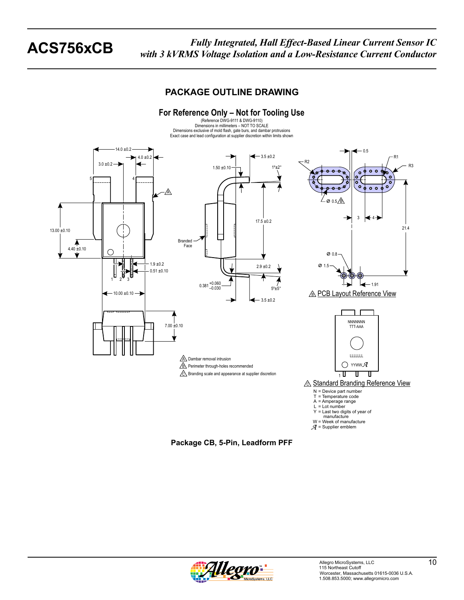### **PACKAGE OUTLINE DRAWING**



**Package CB, 5-Pin, Leadform PFF**